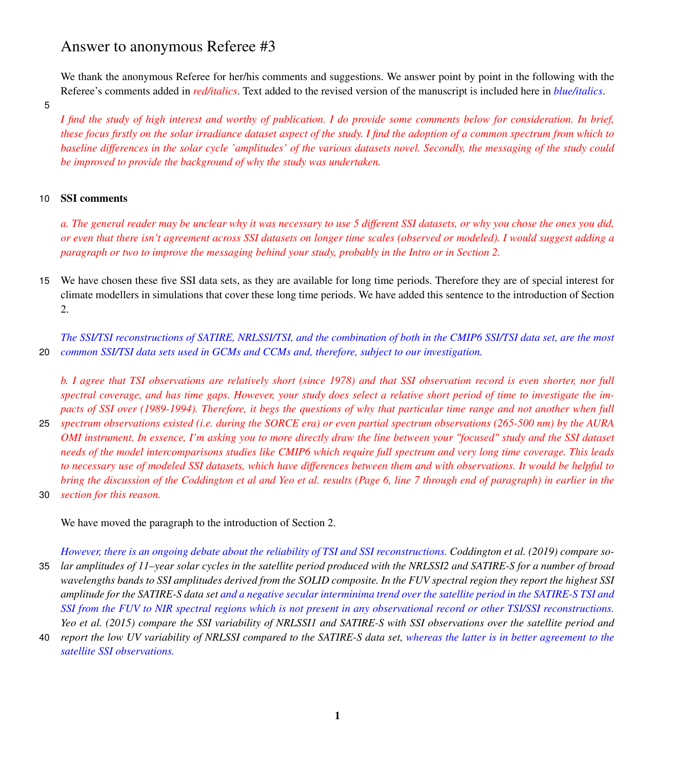# Answer to anonymous Referee #3

We thank the anonymous Referee for her/his comments and suggestions. We answer point by point in the following with the Referee's comments added in *red/italics*. Text added to the revised version of the manuscript is included here in *blue/italics*.

5

*I find the study of high interest and worthy of publication. I do provide some comments below for consideration. In brief, these focus firstly on the solar irradiance dataset aspect of the study. I find the adoption of a common spectrum from which to baseline differences in the solar cycle 'amplitudes' of the various datasets novel. Secondly, the messaging of the study could be improved to provide the background of why the study was undertaken.*

## 10 SSI comments

*a. The general reader may be unclear why it was necessary to use 5 different SSI datasets, or why you chose the ones you did, or even that there isn't agreement across SSI datasets on longer time scales (observed or modeled). I would suggest adding a paragraph or two to improve the messaging behind your study, probably in the Intro or in Section 2.*

15 We have chosen these five SSI data sets, as they are available for long time periods. Therefore they are of special interest for climate modellers in simulations that cover these long time periods. We have added this sentence to the introduction of Section 2.

*The SSI/TSI reconstructions of SATIRE, NRLSSI/TSI, and the combination of both in the CMIP6 SSI/TSI data set, are the most* 20 *common SSI/TSI data sets used in GCMs and CCMs and, therefore, subject to our investigation.*

*b. I agree that TSI observations are relatively short (since 1978) and that SSI observation record is even shorter, nor full spectral coverage, and has time gaps. However, your study does select a relative short period of time to investigate the impacts of SSI over (1989-1994). Therefore, it begs the questions of why that particular time range and not another when full*

- 25 *spectrum observations existed (i.e. during the SORCE era) or even partial spectrum observations (265-500 nm) by the AURA OMI instrument. In essence, I'm asking you to more directly draw the line between your "focused" study and the SSI dataset needs of the model intercomparisons studies like CMIP6 which require full spectrum and very long time coverage. This leads to necessary use of modeled SSI datasets, which have differences between them and with observations. It would be helpful to bring the discussion of the Coddington et al and Yeo et al. results (Page 6, line 7 through end of paragraph) in earlier in the*
- 30 *section for this reason.*

We have moved the paragraph to the introduction of Section 2.

*However, there is an ongoing debate about the reliability of TSI and SSI reconstructions. [Coddington et al.](#page-7-0) [\(2019\)](#page-7-0) compare so-*35 *lar amplitudes of 11–year solar cycles in the satellite period produced with the NRLSSI2 and SATIRE-S for a number of broad wavelengths bands to SSI amplitudes derived from the SOLID composite. In the FUV spectral region they report the highest SSI amplitude for the SATIRE-S data set and a negative secular interminima trend over the satellite period in the SATIRE-S TSI and SSI from the FUV to NIR spectral regions which is not present in any observational record or other TSI/SSI reconstructions. [Yeo et al.](#page-7-1) [\(2015\)](#page-7-1) compare the SSI variability of NRLSSI1 and SATIRE-S with SSI observations over the satellite period and*

40 *report the low UV variability of NRLSSI compared to the SATIRE-S data set, whereas the latter is in better agreement to the satellite SSI observations.*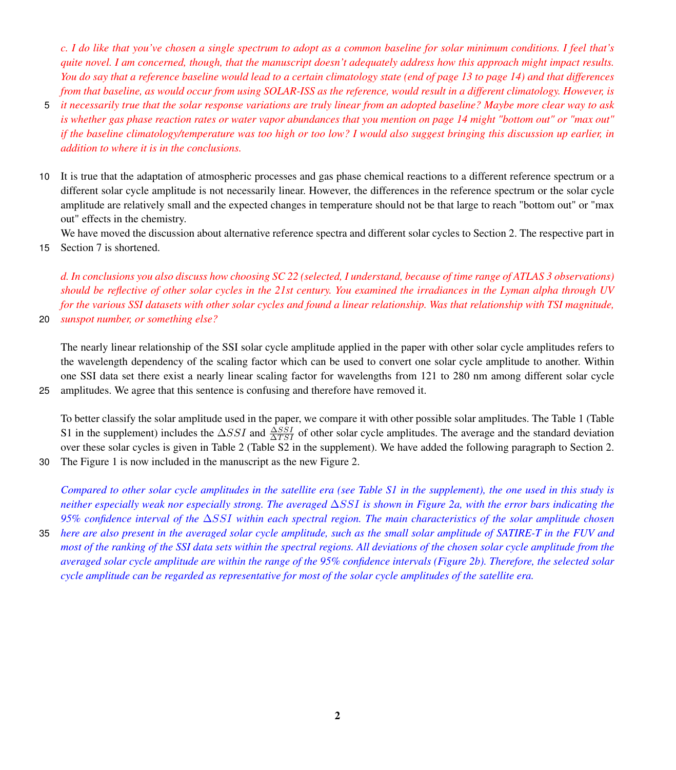*c. I do like that you've chosen a single spectrum to adopt as a common baseline for solar minimum conditions. I feel that's quite novel. I am concerned, though, that the manuscript doesn't adequately address how this approach might impact results. You do say that a reference baseline would lead to a certain climatology state (end of page 13 to page 14) and that differences from that baseline, as would occur from using SOLAR-ISS as the reference, would result in a different climatology. However, is*

- 5 *it necessarily true that the solar response variations are truly linear from an adopted baseline? Maybe more clear way to ask is whether gas phase reaction rates or water vapor abundances that you mention on page 14 might "bottom out" or "max out" if the baseline climatology/temperature was too high or too low? I would also suggest bringing this discussion up earlier, in addition to where it is in the conclusions.*
- 10 It is true that the adaptation of atmospheric processes and gas phase chemical reactions to a different reference spectrum or a different solar cycle amplitude is not necessarily linear. However, the differences in the reference spectrum or the solar cycle amplitude are relatively small and the expected changes in temperature should not be that large to reach "bottom out" or "max out" effects in the chemistry.

We have moved the discussion about alternative reference spectra and different solar cycles to Section 2. The respective part in 15 Section 7 is shortened.

*d. In conclusions you also discuss how choosing SC 22 (selected, I understand, because of time range of ATLAS 3 observations) should be reflective of other solar cycles in the 21st century. You examined the irradiances in the Lyman alpha through UV for the various SSI datasets with other solar cycles and found a linear relationship. Was that relationship with TSI magnitude,*

20 *sunspot number, or something else?*

The nearly linear relationship of the SSI solar cycle amplitude applied in the paper with other solar cycle amplitudes refers to the wavelength dependency of the scaling factor which can be used to convert one solar cycle amplitude to another. Within one SSI data set there exist a nearly linear scaling factor for wavelengths from 121 to 280 nm among different solar cycle 25 amplitudes. We agree that this sentence is confusing and therefore have removed it.

To better classify the solar amplitude used in the paper, we compare it with other possible solar amplitudes. The Table [1](#page-2-0) (Table S1 in the supplement) includes the  $\Delta SSI$  and  $\frac{\Delta SSI}{\Delta TSI}$  of other solar cycle amplitudes. The average and the standard deviation over these solar cycles is given in Table [2](#page-2-1) (Table S2 in the supplement). We have added the following paragraph to Section 2.

30 The Figure [1](#page-3-0) is now included in the manuscript as the new Figure 2.

*Compared to other solar cycle amplitudes in the satellite era (see Table S1 in the supplement), the one used in this study is neither especially weak nor especially strong. The averaged* ∆SSI *is shown in Figure 2a, with the error bars indicating the 95% confidence interval of the* ∆SSI *within each spectral region. The main characteristics of the solar amplitude chosen* 35 *here are also present in the averaged solar cycle amplitude, such as the small solar amplitude of SATIRE-T in the FUV and most of the ranking of the SSI data sets within the spectral regions. All deviations of the chosen solar cycle amplitude from the averaged solar cycle amplitude are within the range of the 95% confidence intervals (Figure 2b). Therefore, the selected solar cycle amplitude can be regarded as representative for most of the solar cycle amplitudes of the satellite era.*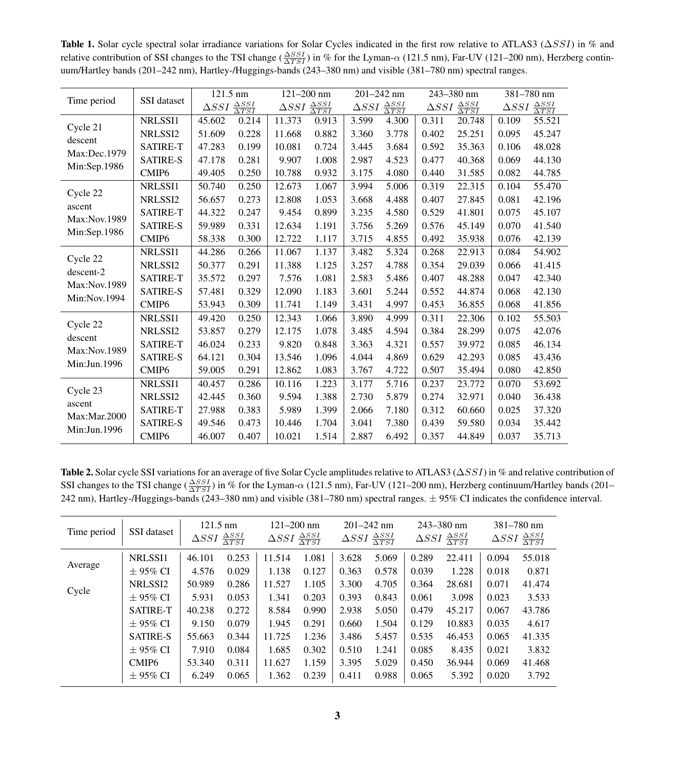<span id="page-2-0"></span>Table 1. Solar cycle spectral solar irradiance variations for Solar Cycles indicated in the first row relative to ATLAS3 ( $\triangle SSI$ ) in % and relative contribution of SSI changes to the TSI change ( $\frac{\Delta SSI}{\Delta TSI}$ ) in % for the Lyman- $\alpha$  (121.5 nm), Far-UV (121–200 nm), Herzberg continuum/Hartley bands (201–242 nm), Hartley-/Huggings-bands (243–380 nm) and visible (381–780 nm) spectral ranges.

|                                                       | SSI dataset       | $121.5$ nm                                 |       | $121 - 200$ nm                             |       | 201-242 nm                                 |       | 243-380 nm                                 |        | 381-780 nm                                 |        |
|-------------------------------------------------------|-------------------|--------------------------------------------|-------|--------------------------------------------|-------|--------------------------------------------|-------|--------------------------------------------|--------|--------------------------------------------|--------|
| Time period                                           |                   | $\Delta SSI \frac{\Delta SSI}{\Delta TSI}$ |       | $\Delta SSI \frac{\Delta SSI}{\Delta TSI}$ |       | $\Delta SSI \frac{\Delta SSI}{\Delta TSI}$ |       | $\Delta SSI \frac{\Delta SSI}{\Delta TSI}$ |        | $\Delta SSI \frac{\Delta SSI}{\Delta TSI}$ |        |
| Cycle 21<br>descent<br>Max:Dec.1979<br>Min:Sep.1986   | NRLSSI1           | 45.602                                     | 0.214 | 11.373                                     | 0.913 | 3.599                                      | 4.300 | 0.311                                      | 20.748 | 0.109                                      | 55.521 |
|                                                       | NRLSSI2           | 51.609                                     | 0.228 | 11.668                                     | 0.882 | 3.360                                      | 3.778 | 0.402                                      | 25.251 | 0.095                                      | 45.247 |
|                                                       | <b>SATIRE-T</b>   | 47.283                                     | 0.199 | 10.081                                     | 0.724 | 3.445                                      | 3.684 | 0.592                                      | 35.363 | 0.106                                      | 48.028 |
|                                                       | <b>SATIRE-S</b>   | 47.178                                     | 0.281 | 9.907                                      | 1.008 | 2.987                                      | 4.523 | 0.477                                      | 40.368 | 0.069                                      | 44.130 |
|                                                       | CMIP <sub>6</sub> | 49.405                                     | 0.250 | 10.788                                     | 0.932 | 3.175                                      | 4.080 | 0.440                                      | 31.585 | 0.082                                      | 44.785 |
| Cycle 22<br>ascent<br>Max:Nov.1989<br>Min:Sep.1986    | NRLSSI1           | 50.740                                     | 0.250 | 12.673                                     | 1.067 | 3.994                                      | 5.006 | 0.319                                      | 22.315 | 0.104                                      | 55.470 |
|                                                       | NRLSSI2           | 56.657                                     | 0.273 | 12.808                                     | 1.053 | 3.668                                      | 4.488 | 0.407                                      | 27.845 | 0.081                                      | 42.196 |
|                                                       | <b>SATIRE-T</b>   | 44.322                                     | 0.247 | 9.454                                      | 0.899 | 3.235                                      | 4.580 | 0.529                                      | 41.801 | 0.075                                      | 45.107 |
|                                                       | <b>SATIRE-S</b>   | 59.989                                     | 0.331 | 12.634                                     | 1.191 | 3.756                                      | 5.269 | 0.576                                      | 45.149 | 0.070                                      | 41.540 |
|                                                       | CMIP <sub>6</sub> | 58.338                                     | 0.300 | 12.722                                     | 1.117 | 3.715                                      | 4.855 | 0.492                                      | 35.938 | 0.076                                      | 42.139 |
| Cycle 22<br>descent-2<br>Max:Nov.1989<br>Min:Nov.1994 | NRLSSI1           | 44.286                                     | 0.266 | 11.067                                     | 1.137 | 3.482                                      | 5.324 | 0.268                                      | 22.913 | 0.084                                      | 54.902 |
|                                                       | NRLSSI2           | 50.377                                     | 0.291 | 11.388                                     | 1.125 | 3.257                                      | 4.788 | 0.354                                      | 29.039 | 0.066                                      | 41.415 |
|                                                       | <b>SATIRE-T</b>   | 35.572                                     | 0.297 | 7.576                                      | 1.081 | 2.583                                      | 5.486 | 0.407                                      | 48.288 | 0.047                                      | 42.340 |
|                                                       | <b>SATIRE-S</b>   | 57.481                                     | 0.329 | 12.090                                     | 1.183 | 3.601                                      | 5.244 | 0.552                                      | 44.874 | 0.068                                      | 42.130 |
|                                                       | CMIP <sub>6</sub> | 53.943                                     | 0.309 | 11.741                                     | 1.149 | 3.431                                      | 4.997 | 0.453                                      | 36.855 | 0.068                                      | 41.856 |
| Cycle 22<br>descent<br>Max:Nov.1989<br>Min:Jun.1996   | NRLSSI1           | 49.420                                     | 0.250 | 12.343                                     | 1.066 | 3.890                                      | 4.999 | 0.311                                      | 22.306 | 0.102                                      | 55.503 |
|                                                       | NRLSSI2           | 53.857                                     | 0.279 | 12.175                                     | 1.078 | 3.485                                      | 4.594 | 0.384                                      | 28.299 | 0.075                                      | 42.076 |
|                                                       | <b>SATIRE-T</b>   | 46.024                                     | 0.233 | 9.820                                      | 0.848 | 3.363                                      | 4.321 | 0.557                                      | 39.972 | 0.085                                      | 46.134 |
|                                                       | <b>SATIRE-S</b>   | 64.121                                     | 0.304 | 13.546                                     | 1.096 | 4.044                                      | 4.869 | 0.629                                      | 42.293 | 0.085                                      | 43.436 |
|                                                       | CMIP <sub>6</sub> | 59.005                                     | 0.291 | 12.862                                     | 1.083 | 3.767                                      | 4.722 | 0.507                                      | 35.494 | 0.080                                      | 42.850 |
| Cycle 23<br>ascent<br>Max:Mar.2000<br>Min:Jun.1996    | NRLSSI1           | 40.457                                     | 0.286 | 10.116                                     | 1.223 | 3.177                                      | 5.716 | 0.237                                      | 23.772 | 0.070                                      | 53.692 |
|                                                       | NRLSSI2           | 42.445                                     | 0.360 | 9.594                                      | 1.388 | 2.730                                      | 5.879 | 0.274                                      | 32.971 | 0.040                                      | 36.438 |
|                                                       | <b>SATIRE-T</b>   | 27.988                                     | 0.383 | 5.989                                      | 1.399 | 2.066                                      | 7.180 | 0.312                                      | 60.660 | 0.025                                      | 37.320 |
|                                                       | <b>SATIRE-S</b>   | 49.546                                     | 0.473 | 10.446                                     | 1.704 | 3.041                                      | 7.380 | 0.439                                      | 59.580 | 0.034                                      | 35.442 |
|                                                       | CMIP <sub>6</sub> | 46.007                                     | 0.407 | 10.021                                     | 1.514 | 2.887                                      | 6.492 | 0.357                                      | 44.849 | 0.037                                      | 35.713 |

<span id="page-2-1"></span>Table 2. Solar cycle SSI variations for an average of five Solar Cycle amplitudes relative to ATLAS3 (∆SSI) in % and relative contribution of SSI changes to the TSI change  $(\frac{\Delta SSI}{\Delta TSI})$  in % for the Lyman- $\alpha$  (121.5 nm), Far-UV (121–200 nm), Herzberg continuum/Hartley bands (201– 242 nm), Hartley-/Huggings-bands (243–380 nm) and visible (381–780 nm) spectral ranges. ± 95% CI indicates the confidence interval.

| Time period | SSI dataset       | $121.5 \text{ nm}$<br>$\Delta SSI \frac{\Delta SSI}{\Delta TSI}$ |       | $121 - 200$ nm<br>$\frac{\Delta SSI}{\Delta TSI}$<br>$\Delta SSI$ |       | $201 - 242$ nm<br>$\frac{\Delta SSI}{\Delta TSI}$<br>$\Delta SSI$ |       | $243 - 380$ nm<br>$\Delta SSI \frac{\Delta SSI}{\Delta TSI}$ |        | 381-780 nm<br>$\Delta SSI \frac{\Delta SSI}{\Delta TSI}$ |        |
|-------------|-------------------|------------------------------------------------------------------|-------|-------------------------------------------------------------------|-------|-------------------------------------------------------------------|-------|--------------------------------------------------------------|--------|----------------------------------------------------------|--------|
| Average     | NRLSSI1           | 46.101                                                           | 0.253 | 11.514                                                            | 1.081 | 3.628                                                             | 5.069 | 0.289                                                        | 22.411 | 0.094                                                    | 55.018 |
|             | $\pm$ 95% CI      | 4.576                                                            | 0.029 | 1.138                                                             | 0.127 | 0.363                                                             | 0.578 | 0.039                                                        | 1.228  | 0.018                                                    | 0.871  |
| Cycle       | NRLSSI2           | 50.989                                                           | 0.286 | 11.527                                                            | 1.105 | 3.300                                                             | 4.705 | 0.364                                                        | 28.681 | 0.071                                                    | 41.474 |
|             | $+95\%$ CI        | 5.931                                                            | 0.053 | 1.341                                                             | 0.203 | 0.393                                                             | 0.843 | 0.061                                                        | 3.098  | 0.023                                                    | 3.533  |
|             | <b>SATIRE-T</b>   | 40.238                                                           | 0.272 | 8.584                                                             | 0.990 | 2.938                                                             | 5.050 | 0.479                                                        | 45.217 | 0.067                                                    | 43.786 |
|             | $+95\%$ CI        | 9.150                                                            | 0.079 | 1.945                                                             | 0.291 | 0.660                                                             | 1.504 | 0.129                                                        | 10.883 | 0.035                                                    | 4.617  |
|             | <b>SATIRE-S</b>   | 55.663                                                           | 0.344 | 11.725                                                            | 1.236 | 3.486                                                             | 5.457 | 0.535                                                        | 46.453 | 0.065                                                    | 41.335 |
|             | $\pm$ 95% CI      | 7.910                                                            | 0.084 | 1.685                                                             | 0.302 | 0.510                                                             | 1.241 | 0.085                                                        | 8.435  | 0.021                                                    | 3.832  |
|             | CMIP <sub>6</sub> | 53.340                                                           | 0.311 | 11.627                                                            | 1.159 | 3.395                                                             | 5.029 | 0.450                                                        | 36.944 | 0.069                                                    | 41.468 |
|             | $\pm$ 95% CI      | 6.249                                                            | 0.065 | 1.362                                                             | 0.239 | 0.411                                                             | 0.988 | 0.065                                                        | 5.392  | 0.020                                                    | 3.792  |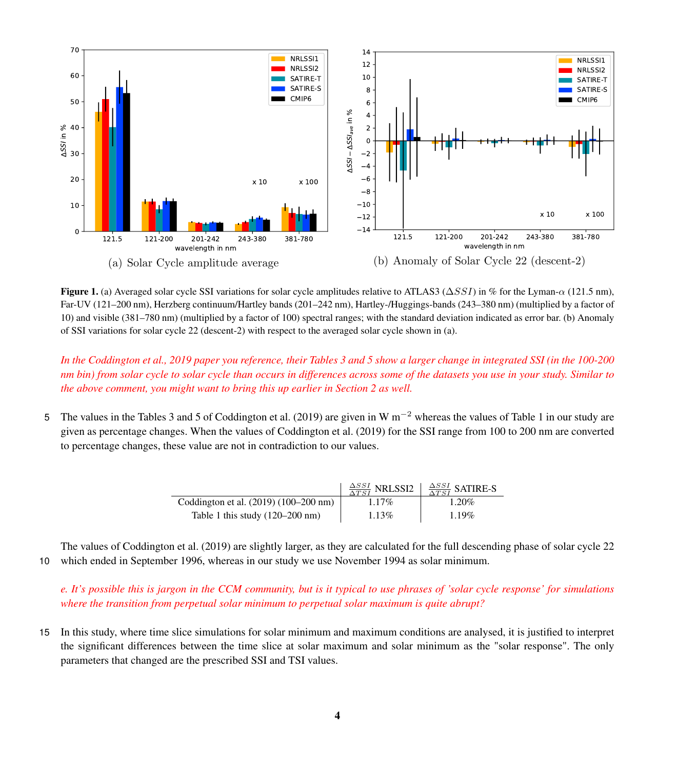<span id="page-3-0"></span>

Figure 1. (a) Averaged solar cycle SSI variations for solar cycle amplitudes relative to ATLAS3 ( $\Delta SSI$ ) in % for the Lyman- $\alpha$  (121.5 nm), Far-UV (121–200 nm), Herzberg continuum/Hartley bands (201–242 nm), Hartley-/Huggings-bands (243–380 nm) (multiplied by a factor of 10) and visible (381–780 nm) (multiplied by a factor of 100) spectral ranges; with the standard deviation indicated as error bar. (b) Anomaly of SSI variations for solar cycle 22 (descent-2) with respect to the averaged solar cycle shown in (a).

*In the Coddington et al., 2019 paper you reference, their Tables 3 and 5 show a larger change in integrated SSI (in the 100-200 nm bin) from solar cycle to solar cycle than occurs in differences across some of the datasets you use in your study. Similar to the above comment, you might want to bring this up earlier in Section 2 as well.*

5 The values in the Tables 3 and 5 of [Coddington et al.](#page-7-0) [\(2019\)](#page-7-0) are given in W m<sup>-2</sup> whereas the values of Table 1 in our study are given as percentage changes. When the values of [Coddington et al.](#page-7-0) [\(2019\)](#page-7-0) for the SSI range from 100 to 200 nm are converted to percentage changes, these value are not in contradiction to our values.

|                                           | $\frac{\Delta SSI}{\Delta TSI}$ NRLSSI2 | $\frac{\Delta SSI}{\Delta TSI}$ SATIRE-S |
|-------------------------------------------|-----------------------------------------|------------------------------------------|
| Coddington et al. (2019) (100–200 nm)     | $1.17\%$                                | 1.20%                                    |
| Table 1 this study $(120-200 \text{ nm})$ | $1.13\%$                                | $1.19\%$                                 |

The values of [Coddington et al.](#page-7-0) [\(2019\)](#page-7-0) are slightly larger, as they are calculated for the full descending phase of solar cycle 22 10 which ended in September 1996, whereas in our study we use November 1994 as solar minimum.

*e. It's possible this is jargon in the CCM community, but is it typical to use phrases of 'solar cycle response' for simulations where the transition from perpetual solar minimum to perpetual solar maximum is quite abrupt?*

15 In this study, where time slice simulations for solar minimum and maximum conditions are analysed, it is justified to interpret the significant differences between the time slice at solar maximum and solar minimum as the "solar response". The only parameters that changed are the prescribed SSI and TSI values.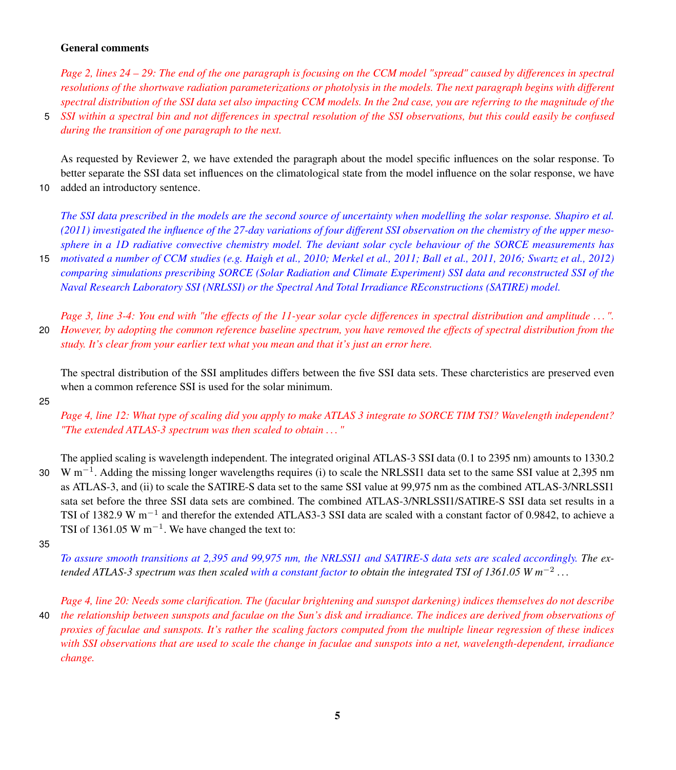### General comments

*Page 2, lines 24 – 29: The end of the one paragraph is focusing on the CCM model "spread" caused by differences in spectral resolutions of the shortwave radiation parameterizations or photolysis in the models. The next paragraph begins with different spectral distribution of the SSI data set also impacting CCM models. In the 2nd case, you are referring to the magnitude of the*

5 *SSI within a spectral bin and not differences in spectral resolution of the SSI observations, but this could easily be confused during the transition of one paragraph to the next.*

As requested by Reviewer 2, we have extended the paragraph about the model specific influences on the solar response. To better separate the SSI data set influences on the climatological state from the model influence on the solar response, we have 10 added an introductory sentence.

*The SSI data prescribed in the models are the second source of uncertainty when modelling the solar response. [Shapiro et al.](#page-7-2) [\(2011\)](#page-7-2) investigated the influence of the 27-day variations of four different SSI observation on the chemistry of the upper mesosphere in a 1D radiative convective chemistry model. The deviant solar cycle behaviour of the SORCE measurements has*

15 *motivated a number of CCM studies (e.g. [Haigh et al., 2010;](#page-7-3) [Merkel et al., 2011;](#page-7-4) [Ball et al., 2011,](#page-7-5) [2016;](#page-7-6) [Swartz et al., 2012\)](#page-7-7) comparing simulations prescribing SORCE (Solar Radiation and Climate Experiment) SSI data and reconstructed SSI of the Naval Research Laboratory SSI (NRLSSI) or the Spectral And Total Irradiance REconstructions (SATIRE) model.*

*Page 3, line 3-4: You end with "the effects of the 11-year solar cycle differences in spectral distribution and amplitude . . . ".* 20 *However, by adopting the common reference baseline spectrum, you have removed the effects of spectral distribution from the study. It's clear from your earlier text what you mean and that it's just an error here.*

The spectral distribution of the SSI amplitudes differs between the five SSI data sets. These charcteristics are preserved even when a common reference SSI is used for the solar minimum.

25

*Page 4, line 12: What type of scaling did you apply to make ATLAS 3 integrate to SORCE TIM TSI? Wavelength independent? "The extended ATLAS-3 spectrum was then scaled to obtain . . . "*

The applied scaling is wavelength independent. The integrated original ATLAS-3 SSI data (0.1 to 2395 nm) amounts to 1330.2 30 W m<sup>-1</sup>. Adding the missing longer wavelengths requires (i) to scale the NRLSSI1 data set to the same SSI value at 2,395 nm as ATLAS-3, and (ii) to scale the SATIRE-S data set to the same SSI value at 99,975 nm as the combined ATLAS-3/NRLSSI1 sata set before the three SSI data sets are combined. The combined ATLAS-3/NRLSSI1/SATIRE-S SSI data set results in a TSI of 1382.9 W  $m^{-1}$  and therefor the extended ATLAS3-3 SSI data are scaled with a constant factor of 0.9842, to achieve a TSI of 1361.05 W  $m^{-1}$ . We have changed the text to:

35

*To assure smooth transitions at 2,395 and 99,975 nm, the NRLSSI1 and SATIRE-S data sets are scaled accordingly. The extended ATLAS-3 spectrum was then scaled with a constant factor to obtain the integrated TSI of 1361.05 W m*<sup>−</sup><sup>2</sup> *. . .*

*Page 4, line 20: Needs some clarification. The (facular brightening and sunspot darkening) indices themselves do not describe* 40 *the relationship between sunspots and faculae on the Sun's disk and irradiance. The indices are derived from observations of proxies of faculae and sunspots. It's rather the scaling factors computed from the multiple linear regression of these indices with SSI observations that are used to scale the change in faculae and sunspots into a net, wavelength-dependent, irradiance change.*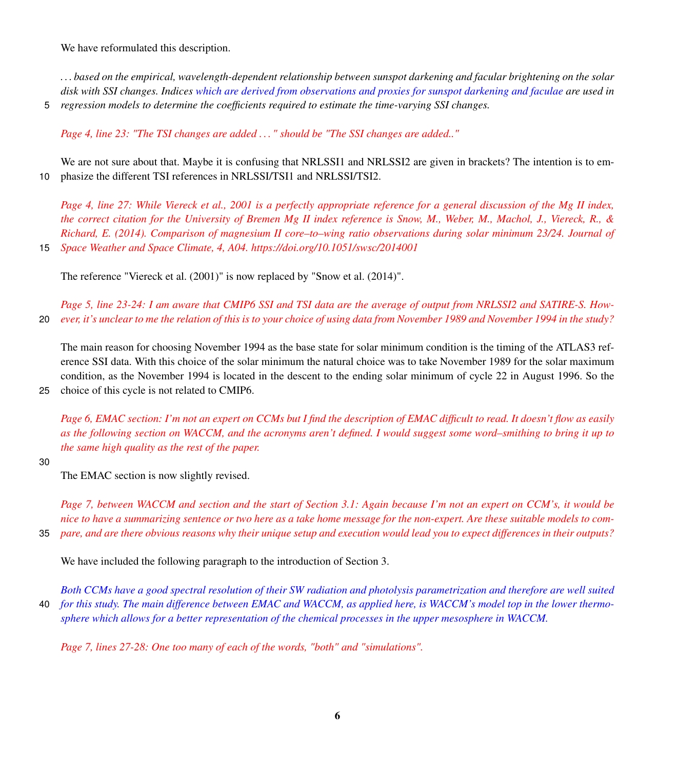We have reformulated this description.

*. . . based on the empirical, wavelength-dependent relationship between sunspot darkening and facular brightening on the solar disk with SSI changes. Indices which are derived from observations and proxies for sunspot darkening and faculae are used in* 5 *regression models to determine the coefficients required to estimate the time-varying SSI changes.*

*Page 4, line 23: "The TSI changes are added . . . " should be "The SSI changes are added.."*

We are not sure about that. Maybe it is confusing that NRLSSI1 and NRLSSI2 are given in brackets? The intention is to em-10 phasize the different TSI references in NRLSSI/TSI1 and NRLSSI/TSI2.

*Page 4, line 27: While Viereck et al., 2001 is a perfectly appropriate reference for a general discussion of the Mg II index, the correct citation for the University of Bremen Mg II index reference is Snow, M., Weber, M., Machol, J., Viereck, R., & Richard, E. (2014). Comparison of magnesium II core–to–wing ratio observations during solar minimum 23/24. Journal of* 15 *Space Weather and Space Climate, 4, A04. https://doi.org/10.1051/swsc/2014001*

The reference "Viereck et al. (2001)" is now replaced by "Snow et al. (2014)".

*Page 5, line 23-24: I am aware that CMIP6 SSI and TSI data are the average of output from NRLSSI2 and SATIRE-S. How-*20 *ever, it's unclear to me the relation of this is to your choice of using data from November 1989 and November 1994 in the study?*

The main reason for choosing November 1994 as the base state for solar minimum condition is the timing of the ATLAS3 reference SSI data. With this choice of the solar minimum the natural choice was to take November 1989 for the solar maximum condition, as the November 1994 is located in the descent to the ending solar minimum of cycle 22 in August 1996. So the

25 choice of this cycle is not related to CMIP6.

*Page 6, EMAC section: I'm not an expert on CCMs but I find the description of EMAC difficult to read. It doesn't flow as easily as the following section on WACCM, and the acronyms aren't defined. I would suggest some word–smithing to bring it up to the same high quality as the rest of the paper.*

#### 30

The EMAC section is now slightly revised.

*Page 7, between WACCM and section and the start of Section 3.1: Again because I'm not an expert on CCM's, it would be nice to have a summarizing sentence or two here as a take home message for the non-expert. Are these suitable models to com-*35 *pare, and are there obvious reasons why their unique setup and execution would lead you to expect differences in their outputs?*

We have included the following paragraph to the introduction of Section 3.

*Both CCMs have a good spectral resolution of their SW radiation and photolysis parametrization and therefore are well suited* 40 *for this study. The main difference between EMAC and WACCM, as applied here, is WACCM's model top in the lower thermosphere which allows for a better representation of the chemical processes in the upper mesosphere in WACCM.*

*Page 7, lines 27-28: One too many of each of the words, "both" and "simulations".*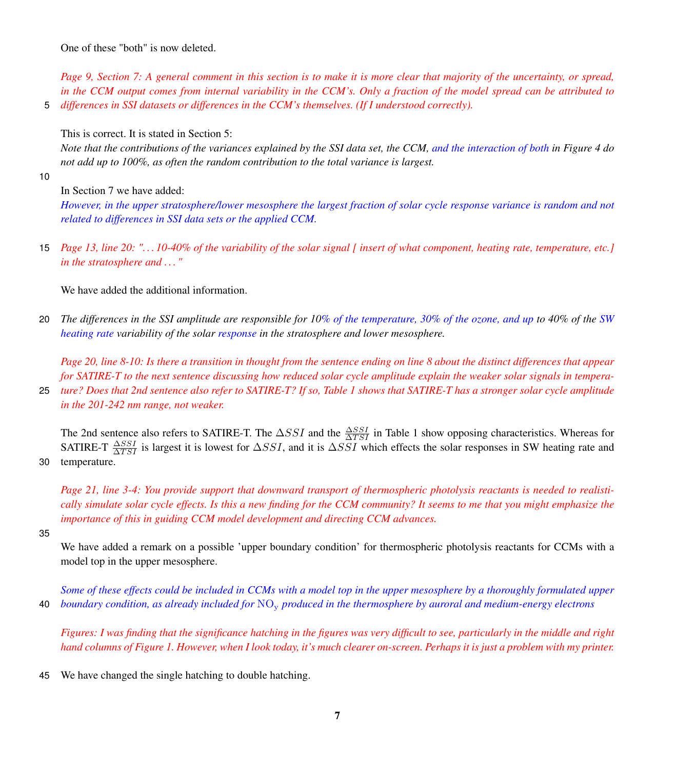One of these "both" is now deleted.

*Page 9, Section 7: A general comment in this section is to make it is more clear that majority of the uncertainty, or spread, in the CCM output comes from internal variability in the CCM's. Only a fraction of the model spread can be attributed to* 5 *differences in SSI datasets or differences in the CCM's themselves. (If I understood correctly).*

This is correct. It is stated in Section 5:

*Note that the contributions of the variances explained by the SSI data set, the CCM, and the interaction of both in Figure 4 do not add up to 100%, as often the random contribution to the total variance is largest.*

10

In Section 7 we have added:

*However, in the upper stratosphere/lower mesosphere the largest fraction of solar cycle response variance is random and not related to differences in SSI data sets or the applied CCM.*

15 *Page 13, line 20: ". . . 10-40% of the variability of the solar signal [ insert of what component, heating rate, temperature, etc.] in the stratosphere and . . . "*

We have added the additional information.

20 *The differences in the SSI amplitude are responsible for 10% of the temperature, 30% of the ozone, and up to 40% of the SW heating rate variability of the solar response in the stratosphere and lower mesosphere.*

*Page 20, line 8-10: Is there a transition in thought from the sentence ending on line 8 about the distinct differences that appear for SATIRE-T to the next sentence discussing how reduced solar cycle amplitude explain the weaker solar signals in tempera-*

25 *ture? Does that 2nd sentence also refer to SATIRE-T? If so, Table 1 shows that SATIRE-T has a stronger solar cycle amplitude in the 201-242 nm range, not weaker.*

The 2nd sentence also refers to SATIRE-T. The  $\Delta SSI$  and the  $\frac{\Delta SSI}{\Delta TSI}$  in Table 1 show opposing characteristics. Whereas for SATIRE-T  $\frac{\Delta SSI}{\Delta TSI}$  is largest it is lowest for  $\Delta SSI$ , and it is  $\Delta SSI$  which effects the solar responses in SW heating rate and 30 temperature.

*Page 21, line 3-4: You provide support that downward transport of thermospheric photolysis reactants is needed to realistically simulate solar cycle effects. Is this a new finding for the CCM community? It seems to me that you might emphasize the importance of this in guiding CCM model development and directing CCM advances.*

35

We have added a remark on a possible 'upper boundary condition' for thermospheric photolysis reactants for CCMs with a model top in the upper mesosphere.

*Some of these effects could be included in CCMs with a model top in the upper mesosphere by a thoroughly formulated upper* 40 *boundary condition, as already included for* NO<sup>y</sup> *produced in the thermosphere by auroral and medium-energy electrons*

*Figures: I was finding that the significance hatching in the figures was very difficult to see, particularly in the middle and right hand columns of Figure 1. However, when I look today, it's much clearer on-screen. Perhaps it is just a problem with my printer.*

45 We have changed the single hatching to double hatching.